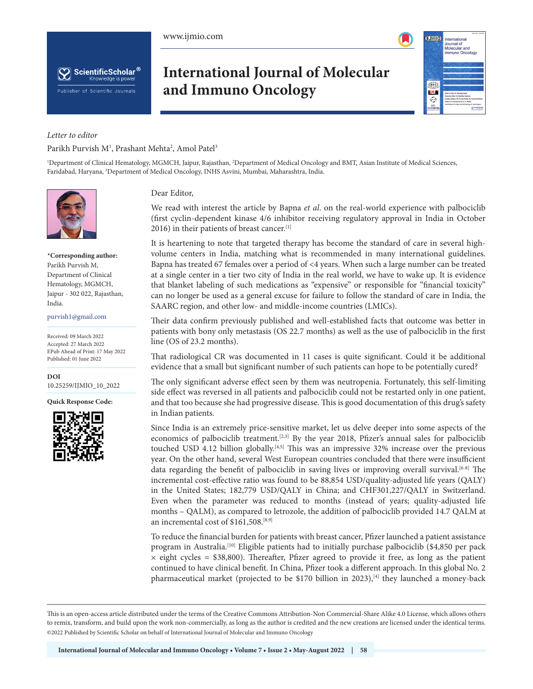



# **International Journal of Molecular and Immuno Oncology**



# *Letter to editor* Parikh Purvish M<sup>1</sup>, Prashant Mehta<sup>2</sup>, Amol Patel<sup>3</sup>

1 Department of Clinical Hematology, MGMCH, Jaipur, Rajasthan, 2 Department of Medical Oncology and BMT, Asian Institute of Medical Sciences, Faridabad, Haryana, 3 Department of Medical Oncology, INHS Asvini, Mumbai, Maharashtra, India.



**\*Corresponding author:**  Parikh Purvish M, Department of Clinical Hematology, MGMCH, Jaipur - 302 022, Rajasthan, India.

#### purvish1@gmail.com

Received: 09 March 2022 Accepted: 27 March 2022 EPub Ahead of Print: 17 May 2022 Published: 01 June 2022

**DOI** [10.25259/IJMIO\\_10\\_2022](https://dx.doi.org/10.25259/IJMIO_10_2022)

**Quick Response Code:**



Dear Editor,

We read with interest the article by Bapna *et al*. on the real-world experience with palbociclib (first cyclin-dependent kinase 4/6 inhibitor receiving regulatory approval in India in October 2016) in their patients of breast cancer.<sup>[1]</sup>

It is heartening to note that targeted therapy has become the standard of care in several highvolume centers in India, matching what is recommended in many international guidelines. Bapna has treated 67 females over a period of <4 years. When such a large number can be treated at a single center in a tier two city of India in the real world, we have to wake up. It is evidence that blanket labeling of such medications as "expensive" or responsible for "financial toxicity" can no longer be used as a general excuse for failure to follow the standard of care in India, the SAARC region, and other low- and middle-income countries (LMICs).

Their data confirm previously published and well-established facts that outcome was better in patients with bony only metastasis (OS 22.7 months) as well as the use of palbociclib in the first line (OS of 23.2 months).

That radiological CR was documented in 11 cases is quite significant. Could it be additional evidence that a small but significant number of such patients can hope to be potentially cured?

The only significant adverse effect seen by them was neutropenia. Fortunately, this self-limiting side effect was reversed in all patients and palbociclib could not be restarted only in one patient, and that too because she had progressive disease. This is good documentation of this drug's safety in Indian patients.

Since India is an extremely price-sensitive market, let us delve deeper into some aspects of the economics of palbociclib treatment.[2,3] By the year 2018, Pfizer's annual sales for palbociclib touched USD 4.12 billion globally.<sup>[4,5]</sup> This was an impressive 32% increase over the previous year. On the other hand, several West European countries concluded that there were insufficient data regarding the benefit of palbociclib in saving lives or improving overall survival.<sup>[6-8]</sup> The incremental cost-effective ratio was found to be 88,854 USD/quality-adjusted life years (QALY) in the United States; 182,779 USD/QALY in China; and CHF301,227/QALY in Switzerland. Even when the parameter was reduced to months (instead of years; quality-adjusted life months – QALM), as compared to letrozole, the addition of palbociclib provided 14.7 QALM at an incremental cost of \$161,508.<sup>[8,9]</sup>

To reduce the financial burden for patients with breast cancer, Pfizer launched a patient assistance program in Australia.[10] Eligible patients had to initially purchase palbociclib (\$4,850 per pack  $\times$  eight cycles = \$38,800). Thereafter, Pfizer agreed to provide it free, as long as the patient continued to have clinical benefit. In China, Pfizer took a different approach. In this global No. 2 pharmaceutical market (projected to be \$170 billion in 2023),<sup>[4]</sup> they launched a money-back

This is an open-access article distributed under the terms of the Creative Commons Attribution-Non Commercial-Share Alike 4.0 License, which allows others to remix, transform, and build upon the work non-commercially, as long as the author is credited and the new creations are licensed under the identical terms. ©2022 Published by Scientific Scholar on behalf of International Journal of Molecular and Immuno Oncology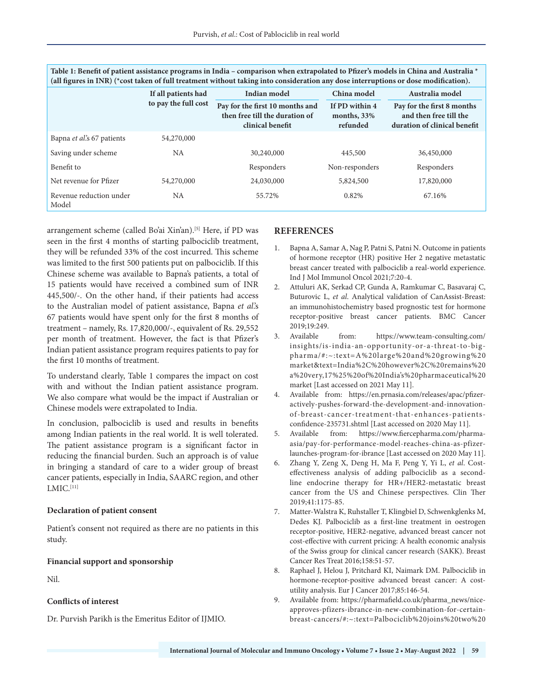| (all ngures in INR) (^cost taken of full treatment without taking into consideration any dose interruptions or dose modification). |                      |                                                                                       |                                             |                                                                                      |
|------------------------------------------------------------------------------------------------------------------------------------|----------------------|---------------------------------------------------------------------------------------|---------------------------------------------|--------------------------------------------------------------------------------------|
|                                                                                                                                    | If all patients had  | Indian model                                                                          | China model                                 | Australia model                                                                      |
|                                                                                                                                    | to pay the full cost | Pay for the first 10 months and<br>then free till the duration of<br>clinical benefit | If PD within 4<br>months, $33%$<br>refunded | Pay for the first 8 months<br>and then free till the<br>duration of clinical benefit |
| Bapna et al's 67 patients                                                                                                          | 54,270,000           |                                                                                       |                                             |                                                                                      |
| Saving under scheme                                                                                                                | <b>NA</b>            | 30,240,000                                                                            | 445,500                                     | 36,450,000                                                                           |
| Benefit to                                                                                                                         |                      | Responders                                                                            | Non-responders                              | Responders                                                                           |
| Net revenue for Pfizer                                                                                                             | 54,270,000           | 24,030,000                                                                            | 5,824,500                                   | 17,820,000                                                                           |
| Revenue reduction under<br>Model                                                                                                   | NA                   | 55.72%                                                                                | 0.82%                                       | 67.16%                                                                               |

**Table 1: Benefit of patient assistance programs in India – comparison when extrapolated to Pfizer's models in China and Australia \* (all figures in INR) (\*cost taken of full treatment without taking into consideration any dose interruptions or dose modification).**

arrangement scheme (called Bo'ai Xin'an).[5] Here, if PD was seen in the first 4 months of starting palbociclib treatment, they will be refunded 33% of the cost incurred. This scheme was limited to the first 500 patients put on palbociclib. If this Chinese scheme was available to Bapna's patients, a total of 15 patients would have received a combined sum of INR 445,500/-. On the other hand, if their patients had access to the Australian model of patient assistance, Bapna *et al*.'s 67 patients would have spent only for the first 8 months of treatment – namely, Rs. 17,820,000/-, equivalent of Rs. 29,552 per month of treatment. However, the fact is that Pfizer's Indian patient assistance program requires patients to pay for the first 10 months of treatment.

To understand clearly, Table 1 compares the impact on cost with and without the Indian patient assistance program. We also compare what would be the impact if Australian or Chinese models were extrapolated to India.

In conclusion, palbociclib is used and results in benefits among Indian patients in the real world. It is well tolerated. The patient assistance program is a significant factor in reducing the financial burden. Such an approach is of value in bringing a standard of care to a wider group of breast cancer patients, especially in India, SAARC region, and other  $LMIC.<sup>[11]</sup>$ 

#### **Declaration of patient consent**

Patient's consent not required as there are no patients in this study.

# **Financial support and sponsorship**

Nil.

# **Conflicts of interest**

Dr. Purvish Parikh is the Emeritus Editor of IJMIO.

# **REFERENCES**

- 1. Bapna A, Samar A, Nag P, Patni S, Patni N. Outcome in patients of hormone receptor (HR) positive Her 2 negative metastatic breast cancer treated with palbociclib a real-world experience. Ind J Mol Immunol Oncol 2021;7:20-4.
- 2. Attuluri AK, Serkad CP, Gunda A, Ramkumar C, Basavaraj C, Buturovic L, *et al*. Analytical validation of CanAssist-Breast: an immunohistochemistry based prognostic test for hormone receptor-positive breast cancer patients. BMC Cancer 2019;19:249.
- 3. Available from: https://www.team-consulting.com/ insights/is-india-an-opportunity-or-a-threat-to-bigpharma/#:~:text=A%20large%20and%20growing%20 market&text=India%2C%20however%2C%20remains%20 a%20very,17%25%20of%20India's%20pharmaceutical%20 market [Last accessed on 2021 May 11].
- 4. Available from: https://en.prnasia.com/releases/apac/pfizeractively-pushes-forward-the-development-and-innovationof-breast-cancer-treatment-that-enhances-patientsconfidence-235731.shtml [Last accessed on 2020 May 11].
- 5. Available from: https://www.fiercepharma.com/pharmaasia/pay-for-performance-model-reaches-china-as-pfizerlaunches-program-for-ibrance [Last accessed on 2020 May 11].
- 6. Zhang Y, Zeng X, Deng H, Ma F, Peng Y, Yi L, *et al*. Costeffectiveness analysis of adding palbociclib as a secondline endocrine therapy for HR+/HER2-metastatic breast cancer from the US and Chinese perspectives. Clin Ther 2019;41:1175-85.
- 7. Matter-Walstra K, Ruhstaller T, Klingbiel D, Schwenkglenks M, Dedes KJ. Palbociclib as a first-line treatment in oestrogen receptor-positive, HER2-negative, advanced breast cancer not cost-effective with current pricing: A health economic analysis of the Swiss group for clinical cancer research (SAKK). Breast Cancer Res Treat 2016;158:51-57.
- 8. Raphael J, Helou J, Pritchard KI, Naimark DM. Palbociclib in hormone-receptor-positive advanced breast cancer: A costutility analysis. Eur J Cancer 2017;85:146-54.
- 9. Available from: https://pharmafield.co.uk/pharma\_news/niceapproves-pfizers-ibrance-in-new-combination-for-certainbreast-cancers/#:~:text=Palbociclib%20joins%20two%20